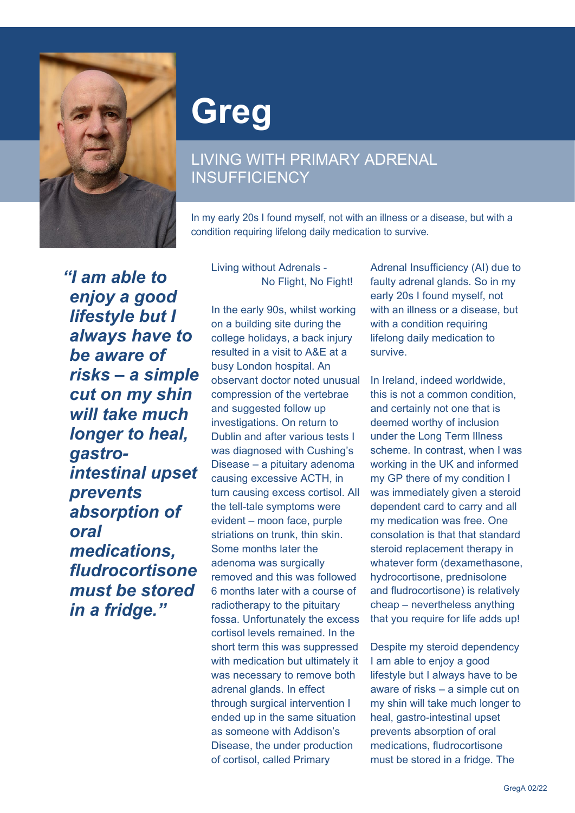

## **Greg**

## LIVING WITH PRIMARY ADRENAL **INSUFFICIENCY**

In my early 20s I found myself, not with an illness or a disease, but with a condition requiring lifelong daily medication to survive.

*"I am able to enjoy a good lifestyle but I always have to be aware of risks – a simple cut on my shin will take much longer to heal, gastrointestinal upset prevents absorption of oral medications, fludrocortisone must be stored in a fridge."*

Living without Adrenals - No Flight, No Fight!

In the early 90s, whilst working on a building site during the college holidays, a back injury resulted in a visit to A&E at a busy London hospital. An observant doctor noted unusual compression of the vertebrae and suggested follow up investigations. On return to Dublin and after various tests I was diagnosed with Cushing's Disease – a pituitary adenoma causing excessive ACTH, in turn causing excess cortisol. All the tell-tale symptoms were evident – moon face, purple striations on trunk, thin skin. Some months later the adenoma was surgically removed and this was followed 6 months later with a course of radiotherapy to the pituitary fossa. Unfortunately the excess cortisol levels remained. In the short term this was suppressed with medication but ultimately it was necessary to remove both adrenal glands. In effect through surgical intervention I ended up in the same situation as someone with Addison's Disease, the under production of cortisol, called Primary

Adrenal Insufficiency (AI) due to faulty adrenal glands. So in my early 20s I found myself, not with an illness or a disease, but with a condition requiring lifelong daily medication to survive.

In Ireland, indeed worldwide, this is not a common condition, and certainly not one that is deemed worthy of inclusion under the Long Term Illness scheme. In contrast, when I was working in the UK and informed my GP there of my condition I was immediately given a steroid dependent card to carry and all my medication was free. One consolation is that that standard steroid replacement therapy in whatever form (dexamethasone, hydrocortisone, prednisolone and fludrocortisone) is relatively cheap – nevertheless anything that you require for life adds up!

Despite my steroid dependency I am able to enjoy a good lifestyle but I always have to be aware of risks – a simple cut on my shin will take much longer to heal, gastro-intestinal upset prevents absorption of oral medications, fludrocortisone must be stored in a fridge. The